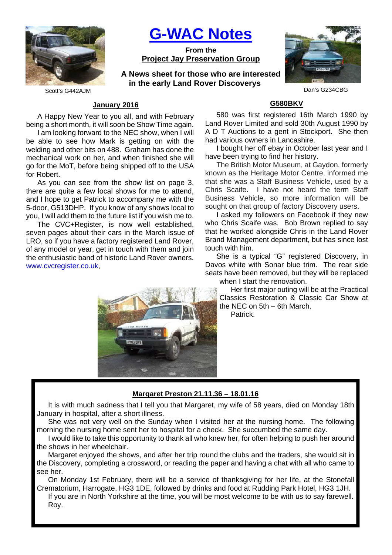

**G-WAC Notes**

**From the Project Jay Preservation Group**

**A News sheet for those who are interested in the early Land Rover Discoverys**



Scott's G442AJM Dan's G234CBG

# **January 2016**

A Happy New Year to you all, and with February being a short month, it will soon be Show Time again.

I am looking forward to the NEC show, when I will be able to see how Mark is getting on with the welding and other bits on 488. Graham has done the mechanical work on her, and when finished she will go for the MoT, before being shipped off to the USA for Robert.

As you can see from the show list on page 3, there are quite a few local shows for me to attend, and I hope to get Patrick to accompany me with the 5-door, G513DHP. If you know of any shows local to you, I will add them to the future list if you wish me to.

The CVC+Register, is now well established, seven pages about their cars in the March issue of LRO, so if you have a factory registered Land Rover, of any model or year, get in touch with them and join the enthusiastic band of historic Land Rover owners. www.cvcregister.co.uk,



## **G580BKV**

580 was first registered 16th March 1990 by Land Rover Limited and sold 30th August 1990 by A D T Auctions to a gent in Stockport. She then had various owners in Lancashire.

I bought her off ebay in October last year and I have been trying to find her history.

The British Motor Museum, at Gaydon, formerly known as the Heritage Motor Centre, informed me that she was a Staff Business Vehicle, used by a Chris Scaife. I have not heard the term Staff Business Vehicle, so more information will be sought on that group of factory Discovery users.

I asked my followers on Facebook if they new who Chris Scaife was. Bob Brown replied to say that he worked alongside Chris in the Land Rover Brand Management department, but has since lost touch with him.

She is a typical "G" registered Discovery, in Davos white with Sonar blue trim. The rear side seats have been removed, but they will be replaced when I start the renovation.

Her first major outing will be at the Practical Classics Restoration & Classic Car Show at the NEC on 5th – 6th March.

Patrick.

## **Margaret Preston 21.11.36 – 18.01.16**

It is with much sadness that I tell you that Margaret, my wife of 58 years, died on Monday 18th January in hospital, after a short illness.

She was not very well on the Sunday when I visited her at the nursing home. The following morning the nursing home sent her to hospital for a check. She succumbed the same day.

I would like to take this opportunity to thank all who knew her, for often helping to push her around the shows in her wheelchair.

Margaret enjoyed the shows, and after her trip round the clubs and the traders, she would sit in the Discovery, completing a crossword, or reading the paper and having a chat with all who came to see her.

On Monday 1st February, there will be a service of thanksgiving for her life, at the Stonefall Crematorium, Harrogate, HG3 1DE, followed by drinks and food at Rudding Park Hotel, HG3 1JH.

If you are in North Yorkshire at the time, you will be most welcome to be with us to say farewell. Roy.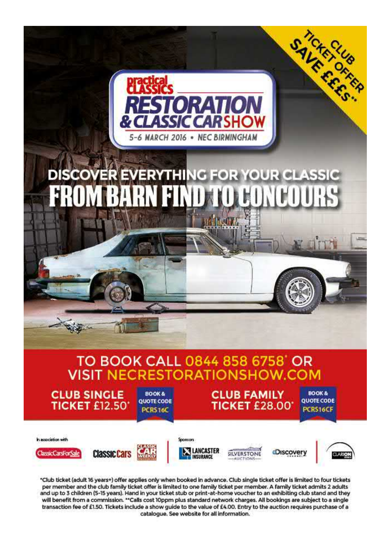

\*Club ticket (adult 16 years+) offer applies only when booked in advance. Club single ticket offer is limited to four tickets per member and the club family ticket offer is limited to one family ticket per member. A family ticket admits 2 adults and up to 3 children (5-15 years). Hand in your ticket stub or print-at-home voucher to an exhibiting club stand and they will benefit from a commission. "Calls cost 10ppm plus standard network charges. All bookings are subject to a single transaction fee of £1.50. Tickets include a show guide to the value of £4.00. Entry to the auction requires purchase of a catalogue. See website for all information.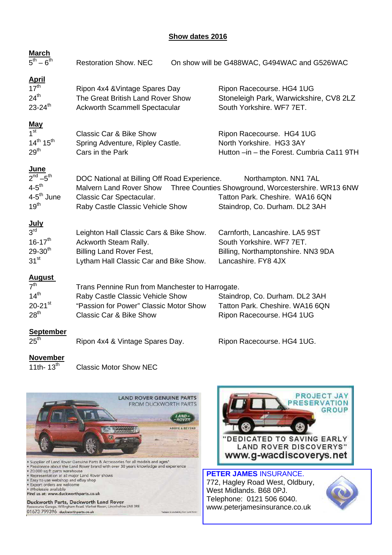# **Show dates 2016**

|                                                                                                                                               | On show will be G488WAC, G494WAC and G526WAC                                                                                                     |
|-----------------------------------------------------------------------------------------------------------------------------------------------|--------------------------------------------------------------------------------------------------------------------------------------------------|
| Ripon 4x4 & Vintage Spares Day<br>The Great British Land Rover Show<br><b>Ackworth Scammell Spectacular</b>                                   | Ripon Racecourse. HG4 1UG<br>Stoneleigh Park, Warwickshire, CV8 2LZ<br>South Yorkshire. WF7 7ET.                                                 |
| <b>Classic Car &amp; Bike Show</b><br>Spring Adventure, Ripley Castle.<br>Cars in the Park                                                    | Ripon Racecourse. HG4 1UG<br>North Yorkshire. HG3 3AY<br>Hutton -in - the Forest. Cumbria Ca11 9TH                                               |
| Malvern Land Rover Show<br>Classic Car Spectacular.<br>Raby Castle Classic Vehicle Show                                                       | Northampton. NN1 7AL<br>Three Counties Showground, Worcestershire. WR13 6NW<br>Tatton Park. Cheshire. WA16 6QN<br>Staindrop, Co. Durham. DL2 3AH |
| Leighton Hall Classic Cars & Bike Show.<br>Ackworth Steam Rally.<br><b>Billing Land Rover Fest,</b><br>Lytham Hall Classic Car and Bike Show. | Carnforth, Lancashire. LA5 9ST<br>South Yorkshire. WF7 7ET.<br>Billing, Northamptonshire. NN3 9DA<br>Lancashire. FY8 4JX                         |
| Raby Castle Classic Vehicle Show<br>"Passion for Power" Classic Motor Show<br><b>Classic Car &amp; Bike Show</b>                              | Staindrop, Co. Durham. DL2 3AH<br>Tatton Park. Cheshire. WA16 6QN<br>Ripon Racecourse. HG4 1UG                                                   |
| Ripon 4x4 & Vintage Spares Day.                                                                                                               | Ripon Racecourse. HG4 1UG.                                                                                                                       |
|                                                                                                                                               | <b>Restoration Show. NEC</b><br>DOC National at Billing Off Road Experience.<br>Trans Pennine Run from Manchester to Harrogate.                  |

 $\overline{11}$ th-  $13<sup>th</sup>$  Classic Motor Show NEC

Duckworth Parts, Duckworth Land Rover ham Road, Market Ras

01673 799396 duckworthparts.co.uk



, Lincolnshire LN8 3RE

debition from L



**PETER JAMES** INSURANCE. 772, Hagley Road West, Oldbury, West Midlands. B68 0PJ. Telephone: 0121 506 6040. www.peterjamesinsurance.co.uk